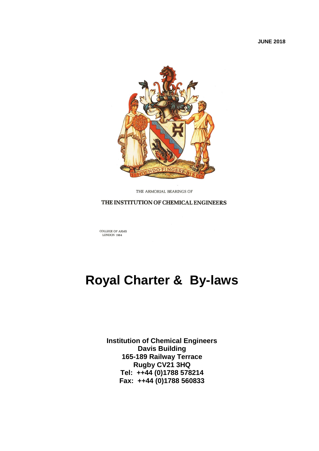**JUNE 2018**



THE ARMORIAL BEARINGS OF

THE INSTITUTION OF CHEMICAL ENGINEERS

COLLEGE OF ARMS<br>LONDON 1964

# **Royal Charter & By-laws**

**Institution of Chemical Engineers Davis Building 165-189 Railway Terrace Rugby CV21 3HQ Tel: ++44 (0)1788 578214 Fax: ++44 (0)1788 560833**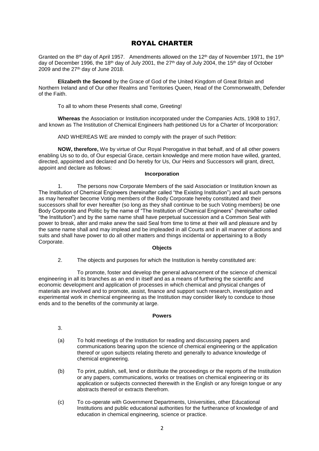## ROYAL CHARTER

Granted on the 8<sup>th</sup> day of April 1957. Amendments allowed on the 12<sup>th</sup> day of November 1971, the 19<sup>th</sup> day of December 1996, the 18<sup>th</sup> day of July 2001, the 27<sup>th</sup> day of July 2004, the 15<sup>th</sup> day of October 2009 and the  $27<sup>th</sup>$  day of June 2018.

**Elizabeth the Second** by the Grace of God of the United Kingdom of Great Britain and Northern Ireland and of Our other Realms and Territories Queen, Head of the Commonwealth, Defender of the Faith.

To all to whom these Presents shall come, Greeting!

**Whereas** the Association or Institution incorporated under the Companies Acts, 1908 to 1917, and known as The Institution of Chemical Engineers hath petitioned Us for a Charter of Incorporation:

AND WHEREAS WE are minded to comply with the prayer of such Petition:

**NOW, therefore,** We by virtue of Our Royal Prerogative in that behalf, and of all other powers enabling Us so to do, of Our especial Grace, certain knowledge and mere motion have willed, granted, directed, appointed and declared and Do hereby for Us, Our Heirs and Successors will grant, direct, appoint and declare as follows:

#### **Incorporation**

1. The persons now Corporate Members of the said Association or Institution known as The Institution of Chemical Engineers (hereinafter called "the Existing Institution") and all such persons as may hereafter become Voting members of the Body Corporate hereby constituted and their successors shall for ever hereafter (so long as they shall continue to be such Voting members) be one Body Corporate and Politic by the name of "The Institution of Chemical Engineers" (hereinafter called "the Institution") and by the same name shall have perpetual succession and a Common Seal with power to break, alter and make anew the said Seal from time to time at their will and pleasure and by the same name shall and may implead and be impleaded in all Courts and in all manner of actions and suits and shall have power to do all other matters and things incidental or appertaining to a Body Corporate.

#### **Objects**

2. The objects and purposes for which the Institution is hereby constituted are:

To promote, foster and develop the general advancement of the science of chemical engineering in all its branches as an end in itself and as a means of furthering the scientific and economic development and application of processes in which chemical and physical changes of materials are involved and to promote, assist, finance and support such research, investigation and experimental work in chemical engineering as the Institution may consider likely to conduce to those ends and to the benefits of the community at large.

#### **Powers**

- 3.
- (a) To hold meetings of the Institution for reading and discussing papers and communications bearing upon the science of chemical engineering or the application thereof or upon subjects relating thereto and generally to advance knowledge of chemical engineering.
- (b) To print, publish, sell, lend or distribute the proceedings or the reports of the Institution or any papers, communications, works or treatises on chemical engineering or its application or subjects connected therewith in the English or any foreign tongue or any abstracts thereof or extracts therefrom.
- (c) To co-operate with Government Departments, Universities, other Educational Institutions and public educational authorities for the furtherance of knowledge of and education in chemical engineering, science or practice.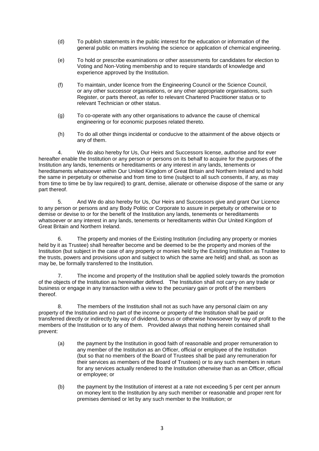- (d) To publish statements in the public interest for the education or information of the general public on matters involving the science or application of chemical engineering.
- (e) To hold or prescribe examinations or other assessments for candidates for election to Voting and Non-Voting membership and to require standards of knowledge and experience approved by the Institution.
- (f) To maintain, under licence from the Engineering Council or the Science Council, or any other successor organisations, or any other appropriate organisations, such Register, or parts thereof, as refer to relevant Chartered Practitioner status or to relevant Technician or other status.
- (g) To co-operate with any other organisations to advance the cause of chemical engineering or for economic purposes related thereto.
- (h) To do all other things incidental or conducive to the attainment of the above objects or any of them.

4. We do also hereby for Us, Our Heirs and Successors license, authorise and for ever hereafter enable the Institution or any person or persons on its behalf to acquire for the purposes of the Institution any lands, tenements or hereditaments or any interest in any lands, tenements or hereditaments whatsoever within Our United Kingdom of Great Britain and Northern Ireland and to hold the same in perpetuity or otherwise and from time to time (subject to all such consents, if any, as may from time to time be by law required) to grant, demise, alienate or otherwise dispose of the same or any part thereof.

5. And We do also hereby for Us, Our Heirs and Successors give and grant Our Licence to any person or persons and any Body Politic or Corporate to assure in perpetuity or otherwise or to demise or devise to or for the benefit of the Institution any lands, tenements or hereditaments whatsoever or any interest in any lands, tenements or hereditaments within Our United Kingdom of Great Britain and Northern Ireland.

6. The property and monies of the Existing Institution (including any property or monies held by it as Trustee) shall hereafter become and be deemed to be the property and monies of the Institution (but subject in the case of any property or monies held by the Existing Institution as Trustee to the trusts, powers and provisions upon and subject to which the same are held) and shall, as soon as may be, be formally transferred to the Institution.

7. The income and property of the Institution shall be applied solely towards the promotion of the objects of the Institution as hereinafter defined. The Institution shall not carry on any trade or business or engage in any transaction with a view to the pecuniary gain or profit of the members thereof.

8. The members of the Institution shall not as such have any personal claim on any property of the Institution and no part of the income or property of the Institution shall be paid or transferred directly or indirectly by way of dividend, bonus or otherwise howsoever by way of profit to the members of the Institution or to any of them. Provided always that nothing herein contained shall prevent:

- (a) the payment by the Institution in good faith of reasonable and proper remuneration to any member of the Institution as an Officer, official or employee of the Institution (but so that no members of the Board of Trustees shall be paid any remuneration for their services as members of the Board of Trustees) or to any such members in return for any services actually rendered to the Institution otherwise than as an Officer, official or employee; or
- (b) the payment by the Institution of interest at a rate not exceeding 5 per cent per annum on money lent to the Institution by any such member or reasonable and proper rent for premises demised or let by any such member to the Institution; or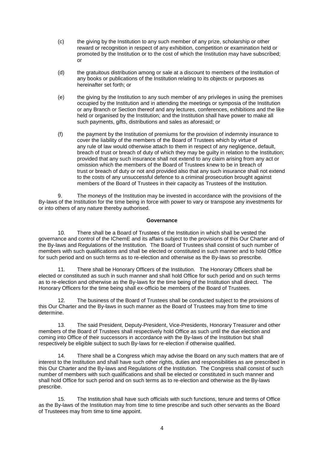- (c) the giving by the Institution to any such member of any prize, scholarship or other reward or recognition in respect of any exhibition, competition or examination held or promoted by the Institution or to the cost of which the Institution may have subscribed; or
- (d) the gratuitous distribution among or sale at a discount to members of the Institution of any books or publications of the Institution relating to its objects or purposes as hereinafter set forth; or
- (e) the giving by the Institution to any such member of any privileges in using the premises occupied by the Institution and in attending the meetings or symposia of the Institution or any Branch or Section thereof and any lectures, conferences, exhibitions and the like held or organised by the Institution; and the Institution shall have power to make all such payments, gifts, distributions and sales as aforesaid; or
- (f) the payment by the Institution of premiums for the provision of indemnity insurance to cover the liability of the members of the Board of Trustees which by virtue of any rule of law would otherwise attach to them in respect of any negligence, default, breach of trust or breach of duty of which they may be guilty in relation to the Institution; provided that any such insurance shall not extend to any claim arising from any act or omission which the members of the Board of Trustees knew to be in breach of trust or breach of duty or not and provided also that any such insurance shall not extend to the costs of any unsuccessful defence to a criminal prosecution brought against members of the Board of Trustees in their capacity as Trustees of the Institution.

9. The moneys of the Institution may be invested in accordance with the provisions of the By-laws of the Institution for the time being in force with power to vary or transpose any investments for or into others of any nature thereby authorised.

## **Governance**

10. There shall be a Board of Trustees of the Institution in which shall be vested the governance and control of the IChemE and its affairs subject to the provisions of this Our Charter and of the By-laws and Regulations of the Institution. The Board of Trustees shall consist of such number of members with such qualifications and shall be elected or constituted in such manner and to hold Office for such period and on such terms as to re-election and otherwise as the By-laws so prescribe.

11. There shall be Honorary Officers of the Institution. The Honorary Officers shall be elected or constituted as such in such manner and shall hold Office for such period and on such terms as to re-election and otherwise as the By-laws for the time being of the Institution shall direct. The Honorary Officers for the time being shall ex-officio be members of the Board of Trustees.

The business of the Board of Trustees shall be conducted subject to the provisions of this Our Charter and the By-laws in such manner as the Board of Trustees may from time to time determine.

13. The said President, Deputy-President, Vice-Presidents, Honorary Treasurer and other members of the Board of Trustees shall respectively hold Office as such until the due election and coming into Office of their successors in accordance with the By-laws of the Institution but shall respectively be eligible subject to such By-laws for re-election if otherwise qualified.

14. There shall be a Congress which may advise the Board on any such matters that are of interest to the Institution and shall have such other rights, duties and responsibilities as are prescribed in this Our Charter and the By-laws and Regulations of the Institution. The Congress shall consist of such number of members with such qualifications and shall be elected or constituted in such manner and shall hold Office for such period and on such terms as to re-election and otherwise as the By-laws prescribe.

15. The Institution shall have such officials with such functions, tenure and terms of Office as the By-laws of the Institution may from time to time prescribe and such other servants as the Board of Trusteees may from time to time appoint.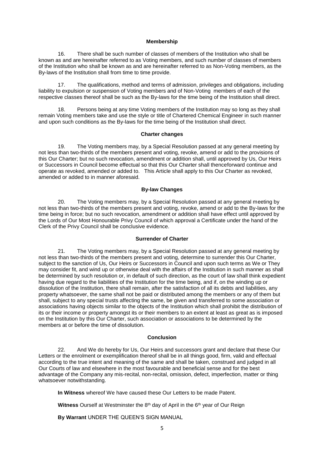#### **Membership**

16. There shall be such number of classes of members of the Institution who shall be known as and are hereinafter referred to as Voting members, and such number of classes of members of the Institution who shall be known as and are hereinafter referred to as Non-Voting members, as the By-laws of the Institution shall from time to time provide.

17. The qualifications, method and terms of admission, privileges and obligations, including liability to expulsion or suspension of Voting members and of Non-Voting members of each of the respective classes thereof shall be such as the By-laws for the time being of the Institution shall direct.

18. Persons being at any time Voting members of the Institution may so long as they shall remain Voting members take and use the style or title of Chartered Chemical Engineer in such manner and upon such conditions as the By-laws for the time being of the Institution shall direct.

#### **Charter changes**

19. The Voting members may, by a Special Resolution passed at any general meeting by not less than two-thirds of the members present and voting, revoke, amend or add to the provisions of this Our Charter; but no such revocation, amendment or addition shall, until approved by Us, Our Heirs or Successors in Council become effectual so that this Our Charter shall thenceforward continue and operate as revoked, amended or added to. This Article shall apply to this Our Charter as revoked, amended or added to in manner aforesaid.

#### **By-law Changes**

20. The Voting members may, by a Special Resolution passed at any general meeting by not less than two-thirds of the members present and voting, revoke, amend or add to the By-laws for the time being in force; but no such revocation, amendment or addition shall have effect until approved by the Lords of Our Most Honourable Privy Council of which approval a Certificate under the hand of the Clerk of the Privy Council shall be conclusive evidence.

#### **Surrender of Charter**

21. The Voting members may, by a Special Resolution passed at any general meeting by not less than two-thirds of the members present and voting, determine to surrender this Our Charter, subject to the sanction of Us, Our Heirs or Successors in Council and upon such terms as We or They may consider fit, and wind up or otherwise deal with the affairs of the Institution in such manner as shall be determined by such resolution or, in default of such direction, as the court of law shall think expedient having due regard to the liabilities of the Institution for the time being, and if, on the winding up or dissolution of the Institution, there shall remain, after the satisfaction of all its debts and liabilities, any property whatsoever, the same shall not be paid or distributed among the members or any of them but shall, subject to any special trusts affecting the same, be given and transferred to some association or associations having objects similar to the objects of the Institution which shall prohibit the distribution of its or their income or property amongst its or their members to an extent at least as great as is imposed on the Institution by this Our Charter, such association or associations to be determined by the members at or before the time of dissolution.

## **Conclusion**

22. And We do hereby for Us, Our Heirs and successors grant and declare that these Our Letters or the enrolment or exemplification thereof shall be in all things good, firm, valid and effectual according to the true intent and meaning of the same and shall be taken, construed and judged in all Our Courts of law and elsewhere in the most favourable and beneficial sense and for the best advantage of the Company any mis-recital, non-recital, omission, defect, imperfection, matter or thing whatsoever notwithstanding.

**In Witness** whereof We have caused these Our Letters to be made Patent.

**Witness** Ourself at Westminster the 8<sup>th</sup> day of April in the 6<sup>th</sup> year of Our Reign

**By Warrant** UNDER THE QUEEN'S SIGN MANUAL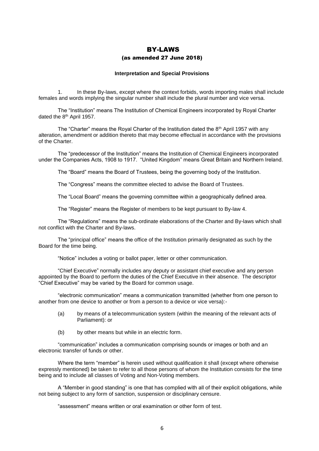# BY-LAWS (as amended 27 June 2018)

#### **Interpretation and Special Provisions**

1. In these By-laws, except where the context forbids, words importing males shall include females and words implying the singular number shall include the plural number and vice versa.

The "Institution" means The Institution of Chemical Engineers incorporated by Royal Charter dated the 8th April 1957.

The "Charter" means the Royal Charter of the Institution dated the 8<sup>th</sup> April 1957 with any alteration, amendment or addition thereto that may become effectual in accordance with the provisions of the Charter.

The "predecessor of the Institution" means the Institution of Chemical Engineers incorporated under the Companies Acts, 1908 to 1917. "United Kingdom" means Great Britain and Northern Ireland.

The "Board" means the Board of Trustees, being the governing body of the Institution.

The "Congress" means the committee elected to advise the Board of Trustees.

The "Local Board" means the governing committee within a geographically defined area.

The "Register" means the Register of members to be kept pursuant to By-law 4.

The "Regulations" means the sub-ordinate elaborations of the Charter and By-laws which shall not conflict with the Charter and By-laws.

The "principal office" means the office of the Institution primarily designated as such by the Board for the time being.

"Notice" includes a voting or ballot paper, letter or other communication.

"Chief Executive" normally includes any deputy or assistant chief executive and any person appointed by the Board to perform the duties of the Chief Executive in their absence. The descriptor "Chief Executive" may be varied by the Board for common usage.

"electronic communication" means a communication transmitted (whether from one person to another from one device to another or from a person to a device or vice versa):-

- (a) by means of a telecommunication system (within the meaning of the relevant acts of Parliament): or
- (b) by other means but while in an electric form.

"communication" includes a communication comprising sounds or images or both and an electronic transfer of funds or other.

Where the term "member" is herein used without qualification it shall (except where otherwise expressly mentioned) be taken to refer to all those persons of whom the Institution consists for the time being and to include all classes of Voting and Non-Voting members.

A "Member in good standing" is one that has complied with all of their explicit obligations, while not being subject to any form of sanction, suspension or disciplinary censure.

"assessment" means written or oral examination or other form of test.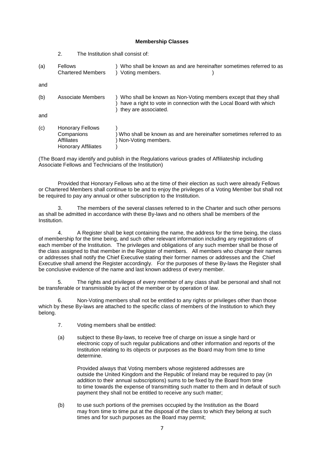## **Membership Classes**

2. The Institution shall consist of:

| (a) | <b>Fellows</b><br><b>Chartered Members</b>                                        | Who shall be known as and are hereinafter sometimes referred to as<br>Voting members.                                                                           |
|-----|-----------------------------------------------------------------------------------|-----------------------------------------------------------------------------------------------------------------------------------------------------------------|
| and |                                                                                   |                                                                                                                                                                 |
| (b) | Associate Members                                                                 | ) Who shall be known as Non-Voting members except that they shall<br>have a right to vote in connection with the Local Board with which<br>they are associated. |
| and |                                                                                   |                                                                                                                                                                 |
| (c) | <b>Honorary Fellows</b><br>Companions<br>Affiliates<br><b>Honorary Affiliates</b> | Who shall be known as and are hereinafter sometimes referred to as<br>Non-Voting members.                                                                       |

(The Board may identify and publish in the Regulations various grades of Affiliateship including Associate Fellows and Technicians of the Institution)

Provided that Honorary Fellows who at the time of their election as such were already Fellows or Chartered Members shall continue to be and to enjoy the privileges of a Voting Member but shall not be required to pay any annual or other subscription to the Institution.

3. The members of the several classes referred to in the Charter and such other persons as shall be admitted in accordance with these By-laws and no others shall be members of the Institution.

4. A Register shall be kept containing the name, the address for the time being, the class of membership for the time being, and such other relevant information including any registrations of each member of the Institution. The privileges and obligations of any such member shall be those of the class assigned to that member in the Register of members. All members who change their names or addresses shall notify the Chief Executive stating their former names or addresses and the Chief Executive shall amend the Register accordingly. For the purposes of these By-laws the Register shall be conclusive evidence of the name and last known address of every member.

5. The rights and privileges of every member of any class shall be personal and shall not be transferable or transmissible by act of the member or by operation of law.

Non-Voting members shall not be entitled to any rights or privileges other than those which by these By-laws are attached to the specific class of members of the Institution to which they belong.

- 7. Voting members shall be entitled:
- (a) subject to these By-laws, to receive free of charge on issue a single hard or electronic copy of such regular publications and other information and reports of the Institution relating to its objects or purposes as the Board may from time to time determine.

Provided always that Voting members whose registered addresses are outside the United Kingdom and the Republic of Ireland may be required to pay (in addition to their annual subscriptions) sums to be fixed by the Board from time to time towards the expense of transmitting such matter to them and in default of such payment they shall not be entitled to receive any such matter;

(b) to use such portions of the premises occupied by the Institution as the Board may from time to time put at the disposal of the class to which they belong at such times and for such purposes as the Board may permit;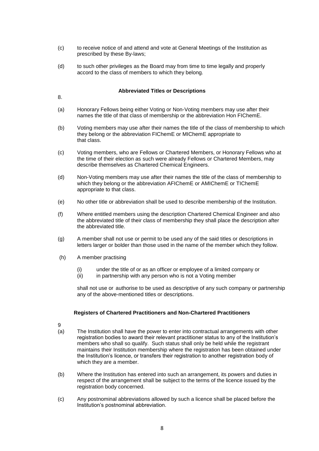- (c) to receive notice of and attend and vote at General Meetings of the Institution as prescribed by these By-laws;
- (d) to such other privileges as the Board may from time to time legally and properly accord to the class of members to which they belong.

## **Abbreviated Titles or Descriptions**

8.

- (a) Honorary Fellows being either Voting or Non-Voting members may use after their names the title of that class of membership or the abbreviation Hon FIChemE.
- (b) Voting members may use after their names the title of the class of membership to which they belong or the abbreviation FIChemE or MIChemE appropriate to that class.
- (c) Voting members, who are Fellows or Chartered Members, or Honorary Fellows who at the time of their election as such were already Fellows or Chartered Members, may describe themselves as Chartered Chemical Engineers.
- (d) Non-Voting members may use after their names the title of the class of membership to which they belong or the abbreviation AFIChemE or AMIChemE or TIChemE appropriate to that class.
- (e) No other title or abbreviation shall be used to describe membership of the Institution.
- (f) Where entitled members using the description Chartered Chemical Engineer and also the abbreviated title of their class of membership they shall place the description after the abbreviated title.
- (g) A member shall not use or permit to be used any of the said titles or descriptions in letters larger or bolder than those used in the name of the member which they follow.
- (h) A member practising
	- (i) under the title of or as an officer or employee of a limited company or
	- (ii) in partnership with any person who is not a Voting member

shall not use or authorise to be used as descriptive of any such company or partnership any of the above-mentioned titles or descriptions.

## **Registers of Chartered Practitioners and Non-Chartered Practitioners**

- $\mathsf{Q}$
- (a) The Institution shall have the power to enter into contractual arrangements with other registration bodies to award their relevant practitioner status to any of the Institution's members who shall so qualify. Such status shall only be held while the registrant maintains their Institution membership where the registration has been obtained under the Institution's licence, or transfers their registration to another registration body of which they are a member.
- (b) Where the Institution has entered into such an arrangement, its powers and duties in respect of the arrangement shall be subject to the terms of the licence issued by the registration body concerned.
- (c) Any postnominal abbreviations allowed by such a licence shall be placed before the Institution's postnominal abbreviation.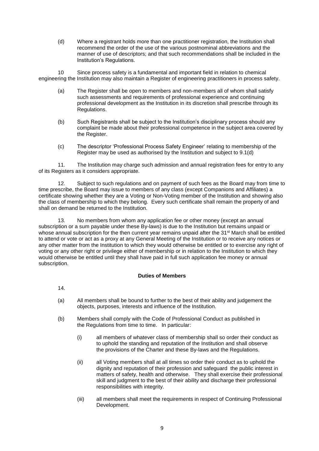(d) Where a registrant holds more than one practitioner registration, the Institution shall recommend the order of the use of the various postnominal abbreviations and the manner of use of descriptors; and that such recommendations shall be included in the Institution's Regulations.

10 Since process safety is a fundamental and important field in relation to chemical engineering the Institution may also maintain a Register of engineering practitioners in process safety.

- (a) The Register shall be open to members and non-members all of whom shall satisfy such assessments and requirements of professional experience and continuing professional development as the Institution in its discretion shall prescribe through its Regulations.
- (b) Such Registrants shall be subject to the Institution's disciplinary process should any complaint be made about their professional competence in the subject area covered by the Register.
- (c) The descriptor 'Professional Process Safety Engineer' relating to membership of the Register may be used as authorised by the Institution and subject to 9.1(d)

11. The Institution may charge such admission and annual registration fees for entry to any of its Registers as it considers appropriate.

12. Subject to such regulations and on payment of such fees as the Board may from time to time prescribe, the Board may issue to members of any class (except Companions and Affiliates) a certificate showing whether they are a Voting or Non-Voting member of the Institution and showing also the class of membership to which they belong. Every such certificate shall remain the property of and shall on demand be returned to the Institution.

13. No members from whom any application fee or other money (except an annual subscription or a sum payable under these By-laws) is due to the Institution but remains unpaid or whose annual subscription for the then current year remains unpaid after the 31<sup>st</sup> March shall be entitled to attend or vote or act as a proxy at any General Meeting of the Institution or to receive any notices or any other matter from the Institution to which they would otherwise be entitled or to exercise any right of voting or any other right or privilege either of membership or in relation to the Institution to which they would otherwise be entitled until they shall have paid in full such application fee money or annual subscription.

## **Duties of Members**

- 14.
- (a) All members shall be bound to further to the best of their ability and judgement the objects, purposes, interests and influence of the Institution.
- (b) Members shall comply with the Code of Professional Conduct as published in the Regulations from time to time. In particular:
	- (i) all members of whatever class of membership shall so order their conduct as to uphold the standing and reputation of the Institution and shall observe the provisions of the Charter and these By-laws and the Regulations.
	- (ii) all Voting members shall at all times so order their conduct as to uphold the dignity and reputation of their profession and safeguard the public interest in matters of safety, health and otherwise. They shall exercise their professional skill and judgment to the best of their ability and discharge their professional responsibilities with integrity.
	- (iii) all members shall meet the requirements in respect of Continuing Professional Development.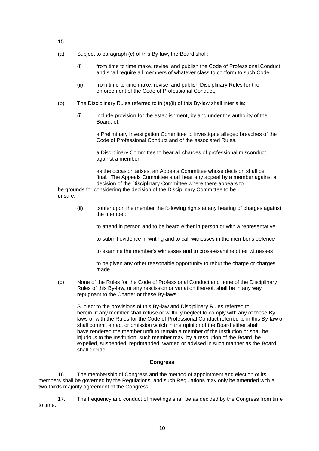- 15.
- (a) Subject to paragraph (c) of this By-law, the Board shall:
	- (i) from time to time make, revise and publish the Code of Professional Conduct and shall require all members of whatever class to conform to such Code.
	- (ii) from time to time make, revise and publish Disciplinary Rules for the enforcement of the Code of Professional Conduct,
- (b) The Disciplinary Rules referred to in (a)(ii) of this By-law shall inter alia:
	- (i) include provision for the establishment, by and under the authority of the Board, of:

a Preliminary Investigation Committee to investigate alleged breaches of the Code of Professional Conduct and of the associated Rules.

a Disciplinary Committee to hear all charges of professional misconduct against a member.

as the occasion arises, an Appeals Committee whose decision shall be final. The Appeals Committee shall hear any appeal by a member against a decision of the Disciplinary Committee where there appears to

be grounds for considering the decision of the Disciplinary Committee to be unsafe.

> (ii) confer upon the member the following rights at any hearing of charges against the member:

to attend in person and to be heard either in person or with a representative

to submit evidence in writing and to call witnesses in the member's defence

to examine the member's witnesses and to cross-examine other witnesses

to be given any other reasonable opportunity to rebut the charge or charges made

(c) None of the Rules for the Code of Professional Conduct and none of the Disciplinary Rules of this By-law, or any rescission or variation thereof, shall be in any way repugnant to the Charter or these By-laws.

Subject to the provisions of this By-law and Disciplinary Rules referred to herein, if any member shall refuse or willfully neglect to comply with any of these Bylaws or with the Rules for the Code of Professional Conduct referred to in this By-law or shall commit an act or omission which in the opinion of the Board either shall have rendered the member unfit to remain a member of the Institution or shall be injurious to the Institution, such member may, by a resolution of the Board, be expelled, suspended, reprimanded, warned or advised in such manner as the Board shall decide.

## **Congress**

16. The membership of Congress and the method of appointment and election of its members shall be governed by the Regulations, and such Regulations may only be amended with a two-thirds majority agreement of the Congress.

17. The frequency and conduct of meetings shall be as decided by the Congress from time to time.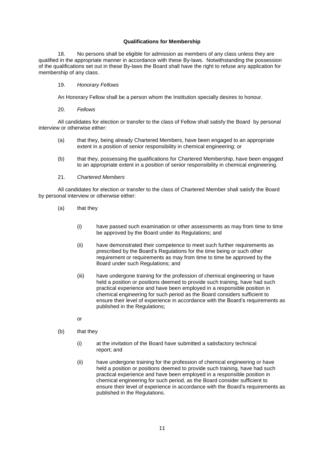## **Qualifications for Membership**

18. No persons shall be eligible for admission as members of any class unless they are qualified in the appropriate manner in accordance with these By-laws. Notwithstanding the possession of the qualifications set out in these By-laws the Board shall have the right to refuse any application for membership of any class.

## 19. *Honorary Fellows*

An Honorary Fellow shall be a person whom the Institution specially desires to honour.

20. *Fellows*

All candidates for election or transfer to the class of Fellow shall satisfy the Board by personal interview or otherwise either:

- (a) that they, being already Chartered Members, have been engaged to an appropriate extent in a position of senior responsibility in chemical engineering; or
- (b) that they, possessing the qualifications for Chartered Membership, have been engaged to an appropriate extent in a position of senior responsibility in chemical engineering.
- 21. *Chartered Members*

All candidates for election or transfer to the class of Chartered Member shall satisfy the Board by personal interview or otherwise either:

- (a) that they
	- (i) have passed such examination or other assessments as may from time to time be approved by the Board under its Regulations; and
	- (ii) have demonstrated their competence to meet such further requirements as prescribed by the Board's Regulations for the time being or such other requirement or requirements as may from time to time be approved by the Board under such Regulations; and
	- (iii) have undergone training for the profession of chemical engineering or have held a position or positions deemed to provide such training, have had such practical experience and have been employed in a responsible position in chemical engineering for such period as the Board considers sufficient to ensure their level of experience in accordance with the Board's requirements as published in the Regulations;
	- or
- (b) that they
	- (i) at the invitation of the Board have submitted a satisfactory technical report; and
	- (ii) have undergone training for the profession of chemical engineering or have held a position or positions deemed to provide such training, have had such practical experience and have been employed in a responsible position in chemical engineering for such period, as the Board consider sufficient to ensure their level of experience in accordance with the Board's requirements as published in the Regulations.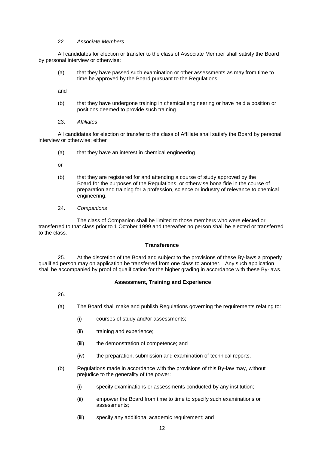## 22. *Associate Members*

All candidates for election or transfer to the class of Associate Member shall satisfy the Board by personal interview or otherwise:

(a) that they have passed such examination or other assessments as may from time to time be approved by the Board pursuant to the Regulations;

and

- (b) that they have undergone training in chemical engineering or have held a position or positions deemed to provide such training.
- 23. *Affiliates*

All candidates for election or transfer to the class of Affiliate shall satisfy the Board by personal interview or otherwise; either

(a) that they have an interest in chemical engineering

or

- (b) that they are registered for and attending a course of study approved by the Board for the purposes of the Regulations, or otherwise bona fide in the course of preparation and training for a profession, science or industry of relevance to chemical engineering.
- 24. *Companions*

The class of Companion shall be limited to those members who were elected or transferred to that class prior to 1 October 1999 and thereafter no person shall be elected or transferred to the class.

## **Transference**

25. At the discretion of the Board and subject to the provisions of these By-laws a properly qualified person may on application be transferred from one class to another. Any such application shall be accompanied by proof of qualification for the higher grading in accordance with these By-laws.

## **Assessment, Training and Experience**

26.

- (a) The Board shall make and publish Regulations governing the requirements relating to:
	- (i) courses of study and/or assessments;
	- (ii) training and experience;
	- (iii) the demonstration of competence; and
	- (iv) the preparation, submission and examination of technical reports.
- (b) Regulations made in accordance with the provisions of this By-law may, without prejudice to the generality of the power:
	- (i) specify examinations or assessments conducted by any institution;
	- (ii) empower the Board from time to time to specify such examinations or assessments;
	- (iii) specify any additional academic requirement; and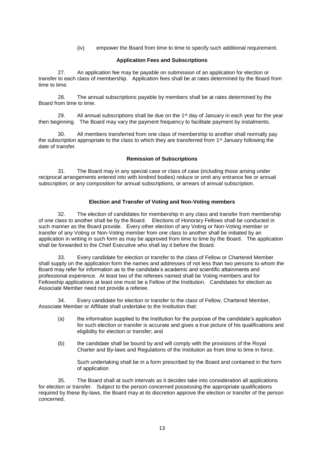(iv) empower the Board from time to time to specify such additional requirement.

## **Application Fees and Subscriptions**

27. An application fee may be payable on submission of an application for election or transfer to each class of membership. Application fees shall be at rates determined by the Board from time to time.

28. The annual subscriptions payable by members shall be at rates determined by the Board from time to time.

29. All annual subscriptions shall be due on the  $1<sup>st</sup>$  day of January in each year for the year then beginning. The Board may vary the payment frequency to facilitate payment by instalments.

30. All members transferred from one class of membership to another shall normally pay the subscription appropriate to the class to which they are transferred from 1<sup>st</sup> January following the date of transfer.

#### **Remission of Subscriptions**

31. The Board may in any special case or class of case (including those arising under reciprocal arrangements entered into with kindred bodies) reduce or omit any entrance fee or annual subscription, or any composition for annual subscriptions, or arrears of annual subscription.

## **Election and Transfer of Voting and Non-Voting members**

32. The election of candidates for membership in any class and transfer from membership of one class to another shall be by the Board. Elections of Honorary Fellows shall be conducted in such manner as the Board provide. Every other election of any Voting or Non-Voting member or transfer of any Voting or Non-Voting member from one class to another shall be initiated by an application in writing in such form as may be approved from time to time by the Board. The application shall be forwarded to the Chief Executive who shall lay it before the Board.

33. Every candidate for election or transfer to the class of Fellow or Chartered Member shall supply on the application form the names and addresses of not less than two persons to whom the Board may refer for information as to the candidate's academic and scientific attainments and professional experience. At least two of the referees named shall be Voting members and for Fellowship applications at least one must be a Fellow of the Institution. Candidates for election as Associate Member need not provide a referee.

34. Every candidate for election or transfer to the class of Fellow, Chartered Member, Associate Member or Affiliate shall undertake to the Institution that:

- (a) the information supplied to the Institution for the purpose of the candidate's application for such election or transfer is accurate and gives a true picture of his qualifications and eligibility for election or transfer; and
- (b) the candidate shall be bound by and will comply with the provisions of the Royal Charter and By-laws and Regulations of the Institution as from time to time in force.

Such undertaking shall be in a form prescribed by the Board and contained in the form of application

35. The Board shall at such intervals as it decides take into consideration all applications for election or transfer. Subject to the person concerned possessing the appropriate qualifications required by these By-laws, the Board may at its discretion approve the election or transfer of the person concerned.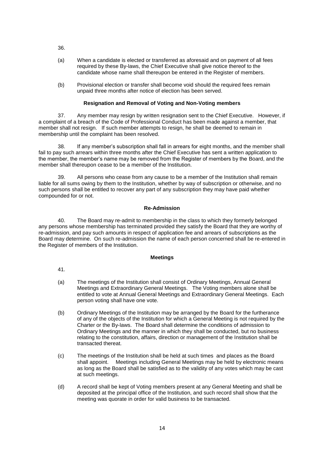- 36.
- (a) When a candidate is elected or transferred as aforesaid and on payment of all fees required by these By-laws, the Chief Executive shall give notice thereof to the candidate whose name shall thereupon be entered in the Register of members.
- (b) Provisional election or transfer shall become void should the required fees remain unpaid three months after notice of election has been served.

## **Resignation and Removal of Voting and Non-Voting members**

37. Any member may resign by written resignation sent to the Chief Executive. However, if a complaint of a breach of the Code of Professional Conduct has been made against a member, that member shall not resign. If such member attempts to resign, he shall be deemed to remain in membership until the complaint has been resolved.

38. If any member's subscription shall fall in arrears for eight months, and the member shall fail to pay such arrears within three months after the Chief Executive has sent a written application to the member, the member's name may be removed from the Register of members by the Board, and the member shall thereupon cease to be a member of the Institution.

39. All persons who cease from any cause to be a member of the Institution shall remain liable for all sums owing by them to the Institution, whether by way of subscription or otherwise, and no such persons shall be entitled to recover any part of any subscription they may have paid whether compounded for or not.

## **Re-Admission**

40. The Board may re-admit to membership in the class to which they formerly belonged any persons whose membership has terminated provided they satisfy the Board that they are worthy of re-admission, and pay such amounts in respect of application fee and arrears of subscriptions as the Board may determine. On such re-admission the name of each person concerned shall be re-entered in the Register of members of the Institution.

## **Meetings**

- 41.
- (a) The meetings of the Institution shall consist of Ordinary Meetings, Annual General Meetings and Extraordinary General Meetings. The Voting members alone shall be entitled to vote at Annual General Meetings and Extraordinary General Meetings. Each person voting shall have one vote.
- (b) Ordinary Meetings of the Institution may be arranged by the Board for the furtherance of any of the objects of the Institution for which a General Meeting is not required by the Charter or the By-laws. The Board shall determine the conditions of admission to Ordinary Meetings and the manner in which they shall be conducted, but no business relating to the constitution, affairs, direction or management of the Institution shall be transacted thereat.
- (c) The meetings of the Institution shall be held at such times and places as the Board shall appoint. Meetings including General Meetings may be held by electronic means as long as the Board shall be satisfied as to the validity of any votes which may be cast at such meetings.
- (d) A record shall be kept of Voting members present at any General Meeting and shall be deposited at the principal office of the Institution, and such record shall show that the meeting was quorate in order for valid business to be transacted.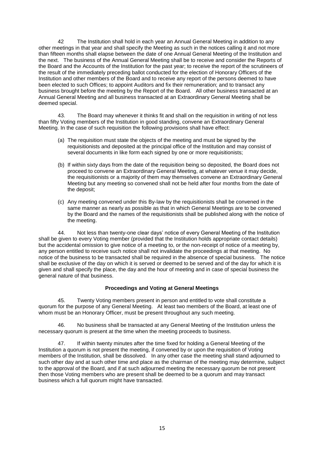42 The Institution shall hold in each year an Annual General Meeting in addition to any other meetings in that year and shall specify the Meeting as such in the notices calling it and not more than fifteen months shall elapse between the date of one Annual General Meeting of the Institution and the next. The business of the Annual General Meeting shall be to receive and consider the Reports of the Board and the Accounts of the Institution for the past year; to receive the report of the scrutineers of the result of the immediately preceding ballot conducted for the election of Honorary Officers of the Institution and other members of the Board and to receive any report of the persons deemed to have been elected to such Offices; to appoint Auditors and fix their remuneration; and to transact any business brought before the meeting by the Report of the Board. All other business transacted at an Annual General Meeting and all business transacted at an Extraordinary General Meeting shall be deemed special.

43. The Board may whenever it thinks fit and shall on the requisition in writing of not less than fifty Voting members of the Institution in good standing, convene an Extraordinary General Meeting. In the case of such requisition the following provisions shall have effect:

- (a) The requisition must state the objects of the meeting and must be signed by the requisitionists and deposited at the principal office of the Institution and may consist of several documents in like form each signed by one or more requisitionists;
- (b) If within sixty days from the date of the requisition being so deposited, the Board does not proceed to convene an Extraordinary General Meeting, at whatever venue it may decide, the requisitionists or a majority of them may themselves convene an Extraordinary General Meeting but any meeting so convened shall not be held after four months from the date of the deposit;
- (c) Any meeting convened under this By-law by the requisitionists shall be convened in the same manner as nearly as possible as that in which General Meetings are to be convened by the Board and the names of the requisitionists shall be published along with the notice of the meeting.

44. Not less than twenty-one clear days' notice of every General Meeting of the Institution shall be given to every Voting member (provided that the Institution holds appropriate contact details) but the accidental omission to give notice of a meeting to, or the non-receipt of notice of a meeting by, any person entitled to receive such notice shall not invalidate the proceedings at that meeting. No notice of the business to be transacted shall be required in the absence of special business. The notice shall be exclusive of the day on which it is served or deemed to be served and of the day for which it is given and shall specify the place, the day and the hour of meeting and in case of special business the general nature of that business.

## **Proceedings and Voting at General Meetings**

45. Twenty Voting members present in person and entitled to vote shall constitute a quorum for the purpose of any General Meeting. At least two members of the Board, at least one of whom must be an Honorary Officer, must be present throughout any such meeting.

46. No business shall be transacted at any General Meeting of the Institution unless the necessary quorum is present at the time when the meeting proceeds to business.

47. If within twenty minutes after the time fixed for holding a General Meeting of the Institution a quorum is not present the meeting, if convened by or upon the requisition of Voting members of the Institution, shall be dissolved. In any other case the meeting shall stand adjourned to such other day and at such other time and place as the chairman of the meeting may determine, subject to the approval of the Board, and if at such adjourned meeting the necessary quorum be not present then those Voting members who are present shall be deemed to be a quorum and may transact business which a full quorum might have transacted.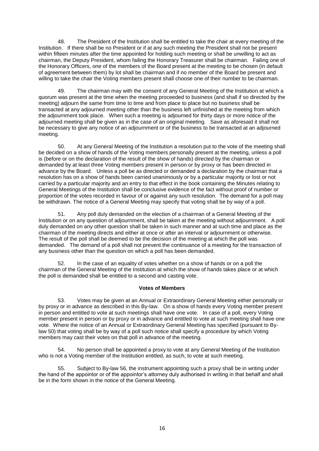48. The President of the Institution shall be entitled to take the chair at every meeting of the Institution. If there shall be no President or if at any such meeting the President shall not be present within fifteen minutes after the time appointed for holding such meeting or shall be unwilling to act as chairman, the Deputy President, whom failing the Honorary Treasurer shall be chairman. Failing one of the Honorary Officers, one of the members of the Board present at the meeting to be chosen (in default of agreement between them) by lot shall be chairman and if no member of the Board be present and willing to take the chair the Voting members present shall choose one of their number to be chairman.

49. The chairman may with the consent of any General Meeting of the Institution at which a quorum was present at the time when the meeting proceeded to business (and shall if so directed by the meeting) adjourn the same from time to time and from place to place but no business shall be transacted at any adjourned meeting other than the business left unfinished at the meeting from which the adjournment took place. When such a meeting is adjourned for thirty days or more notice of the adjourned meeting shall be given as in the case of an original meeting. Save as aforesaid it shall not be necessary to give any notice of an adjournment or of the business to be transacted at an adjourned meeting.

50. At any General Meeting of the Institution a resolution put to the vote of the meeting shall be decided on a show of hands of the Voting members personally present at the meeting, unless a poll is (before or on the declaration of the result of the show of hands) directed by the chairman or demanded by at least three Voting members present in person or by proxy or has been directed in advance by the Board. Unless a poll be as directed or demanded a declaration by the chairman that a resolution has on a show of hands been carried unanimously or by a particular majority or lost or not carried by a particular majority and an entry to that effect in the book containing the Minutes relating to General Meetings of the Institution shall be conclusive evidence of the fact without proof of number or proportion of the votes recorded in favour of or against any such resolution. The demand for a poll may be withdrawn. The notice of a General Meeting may specify that voting shall be by way of a poll.

51. Any poll duly demanded on the election of a chairman of a General Meeting of the Institution or on any question of adjournment, shall be taken at the meeting without adjournment. A poll duly demanded on any other question shall be taken in such manner and at such time and place as the chairman of the meeting directs and either at once or after an interval or adjournment or otherwise. The result of the poll shall be deemed to be the decision of the meeting at which the poll was demanded. The demand of a poll shall not prevent the continuance of a meeting for the transaction of any business other than the question on which a poll has been demanded.

52. In the case of an equality of votes whether on a show of hands or on a poll the chairman of the General Meeting of the Institution at which the show of hands takes place or at which the poll is demanded shall be entitled to a second and casting vote.

## **Votes of Members**

53. Votes may be given at an Annual or Extraordinary General Meeting either personally or by proxy or in advance as described in this By-law. On a show of hands every Voting member present in person and entitled to vote at such meetings shall have one vote. In case of a poll, every Voting member present in person or by proxy or in advance and entitled to vote at such meeting shall have one vote. Where the notice of an Annual or Extraordinary General Meeting has specified (pursuant to Bylaw 50) that voting shall be by way of a poll such notice shall specify a procedure by which Voting members may cast their votes on that poll in advance of the meeting.

54. No person shall be appointed a proxy to vote at any General Meeting of the Institution who is not a Voting member of the Institution entitled, as such, to vote at such meeting.

55. Subject to By-law 56, the instrument appointing such a proxy shall be in writing under the hand of the appointor or of the appointor's attorney duly authorised in writing in that behalf and shall be in the form shown in the notice of the General Meeting.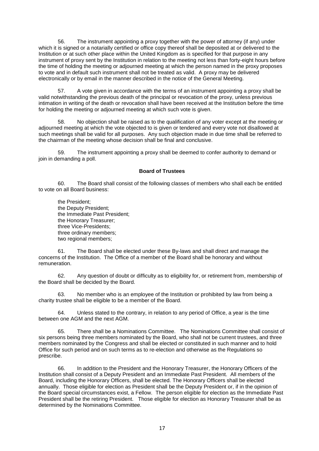56. The instrument appointing a proxy together with the power of attorney (if any) under which it is signed or a notarially certified or office copy thereof shall be deposited at or delivered to the Institution or at such other place within the United Kingdom as is specified for that purpose in any instrument of proxy sent by the Institution in relation to the meeting not less than forty-eight hours before the time of holding the meeting or adjourned meeting at which the person named in the proxy proposes to vote and in default such instrument shall not be treated as valid. A proxy may be delivered electronically or by email in the manner described in the notice of the General Meeting.

57. A vote given in accordance with the terms of an instrument appointing a proxy shall be valid notwithstanding the previous death of the principal or revocation of the proxy, unless previous intimation in writing of the death or revocation shall have been received at the Institution before the time for holding the meeting or adjourned meeting at which such vote is given.

58. No objection shall be raised as to the qualification of any voter except at the meeting or adjourned meeting at which the vote objected to is given or tendered and every vote not disallowed at such meetings shall be valid for all purposes. Any such objection made in due time shall be referred to the chairman of the meeting whose decision shall be final and conclusive.

59. The instrument appointing a proxy shall be deemed to confer authority to demand or join in demanding a poll.

## **Board of Trustees**

60. The Board shall consist of the following classes of members who shall each be entitled to vote on all Board business:

the President; the Deputy President; the Immediate Past President; the Honorary Treasurer; three Vice-Presidents; three ordinary members; two regional members;

61. The Board shall be elected under these By-laws and shall direct and manage the concerns of the Institution. The Office of a member of the Board shall be honorary and without remuneration.

62. Any question of doubt or difficulty as to eligibility for, or retirement from, membership of the Board shall be decided by the Board.

63. No member who is an employee of the Institution or prohibited by law from being a charity trustee shall be eligible to be a member of the Board.

64. Unless stated to the contrary, in relation to any period of Office, a year is the time between one AGM and the next AGM.

65. There shall be a Nominations Committee. The Nominations Committee shall consist of six persons being three members nominated by the Board, who shall not be current trustees, and three members nominated by the Congress and shall be elected or constituted in such manner and to hold Office for such period and on such terms as to re-election and otherwise as the Regulations so prescribe.

66. In addition to the President and the Honorary Treasurer, the Honorary Officers of the Institution shall consist of a Deputy President and an Immediate Past President. All members of the Board, including the Honorary Officers, shall be elected. The Honorary Officers shall be elected annually. Those eligible for election as President shall be the Deputy President or, if in the opinion of the Board special circumstances exist, a Fellow. The person eligible for election as the Immediate Past President shall be the retiring President. Those eligible for election as Honorary Treasurer shall be as determined by the Nominations Committee.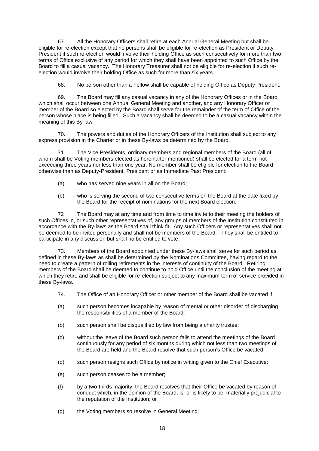67. All the Honorary Officers shall retire at each Annual General Meeting but shall be eligible for re-election except that no persons shall be eligible for re-election as President or Deputy President if such re-election would involve their holding Office as such consecutively for more than two terms of Office exclusive of any period for which they shall have been appointed to such Office by the Board to fill a casual vacancy. The Honorary Treasurer shall not be eligible for re-election if such reelection would involve their holding Office as such for more than six years.

68. No person other than a Fellow shall be capable of holding Office as Deputy President.

69. The Board may fill any casual vacancy in any of the Honorary Offices or in the Board which shall occur between one Annual General Meeting and another, and any Honorary Officer or member of the Board so elected by the Board shall serve for the remainder of the term of Office of the person whose place is being filled. Such a vacancy shall be deemed to be a casual vacancy within the meaning of this By-law

70. The powers and duties of the Honorary Officers of the Institution shall subject to any express provision in the Charter or in these By-laws be determined by the Board.

71. The Vice Presidents, ordinary members and regional members of the Board (all of whom shall be Voting members elected as hereinafter mentioned) shall be elected for a term not exceeding three years nor less than one year. No member shall be eligible for election to the Board otherwise than as Deputy-President, President or as Immediate Past President:

- (a) who has served nine years in all on the Board;
- (b) who is serving the second of two consecutive terms on the Board at the date fixed by the Board for the receipt of nominations for the next Board election.

72 The Board may at any time and from time to time invite to their meeting the holders of such Offices in, or such other representatives of, any groups of members of the Institution constituted in accordance with the By-laws as the Board shall think fit. Any such Officers or representatives shall not be deemed to be invited personally and shall not be members of the Board. They shall be entitled to participate in any discussion but shall no be entitled to vote.

73. Members of the Board appointed under these By-laws shall serve for such period as defined in these By-laws as shall be determined by the Nominations Committee, having regard to the need to create a pattern of rolling retirements in the interests of continuity of the Board. Retiring members of the Board shall be deemed to continue to hold Office until the conclusion of the meeting at which they retire and shall be eligible for re-election subject to any maximum term of service provided in these By-laws.

- 74. The Office of an Honorary Officer or other member of the Board shall be vacated if:
- (a) such person becomes incapable by reason of mental or other disorder of discharging the responsibilities of a member of the Board.
- (b) such person shall be disqualified by law from being a charity trustee;
- (c) without the leave of the Board such person fails to attend the meetings of the Board continuously for any period of six months during which not less than two meetings of the Board are held and the Board resolve that such person's Office be vacated;
- (d) such person resigns such Office by notice in writing given to the Chief Executive;
- (e) such person ceases to be a member;
- (f) by a two-thirds majority, the Board resolves that their Office be vacated by reason of conduct which, in the opinion of the Board, is, or is likely to be, materially prejudicial to the reputation of the Institution; or
- (g) the Voting members so resolve in General Meeting.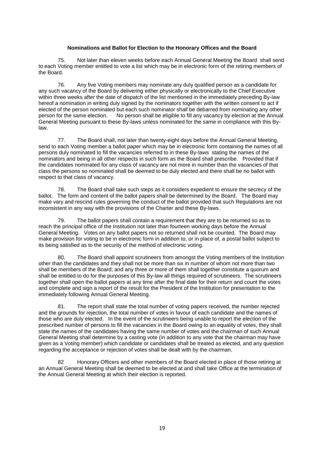## **Nominations and Ballot for Election to the Honorary Offices and the Board**

75. Not later than eleven weeks before each Annual General Meeting the Board shall send to each Voting member entitled to vote a list which may be in electronic form of the retiring members of the Board.

76. Any five Voting members may nominate any duly qualified person as a candidate for any such vacancy of the Board by delivering either physically or electronically to the Chief Executive within three weeks after the date of dispatch of the list mentioned in the immediately preceding By-law hereof a nomination in writing duly signed by the nominators together with the written consent to act if elected of the person nominated but each such nominator shall be debarred from nominating any other person for the same election. No person shall be eligible to fill any vacancy by election at the Annual General Meeting pursuant to these By-laws unless nominated for the same in compliance with this Bylaw.

77. The Board shall, not later than twenty-eight days before the Annual General Meeting, send to each Voting member a ballot paper which may be in electronic form containing the names of all persons duly nominated to fill the vacancies referred to in these By-laws stating the names of the nominators and being in all other respects in such form as the Board shall prescribe. Provided that if the candidates nominated for any class of vacancy are not more in number than the vacancies of that class the persons so nominated shall be deemed to be duly elected and there shall be no ballot with respect to that class of vacancy.

78. The Board shall take such steps as it considers expedient to ensure the secrecy of the ballot. The form and content of the ballot papers shall be determined by the Board. The Board may make vary and rescind rules governing the conduct of the ballot provided that such Regulations are not inconsistent in any way with the provisions of the Charter and these By-laws.

79. The ballot papers shall contain a requirement that they are to be returned so as to reach the principal office of the Institution not later than fourteen working days before the Annual General Meeting. Votes on any ballot papers not so returned shall not be counted. The Board may make provision for voting to be in electronic form in addition to, or in place of, a postal ballot subject to its being satisfied as to the security of the method of electronic voting.

80. The Board shall appoint scrutineers from amongst the Voting members of the Institution other than the candidates and they shall not be more than six in number of whom not more than two shall be members of the Board; and any three or more of them shall together constitute a quorum and shall be entitled to do for the purposes of this By-law all things required of scrutineers. The scrutineers together shall open the ballot papers at any time after the final date for their return and count the votes and complete and sign a report of the result for the President of the Institution for presentation to the immediately following Annual General Meeting.

81. The report shall state the total number of voting papers received, the number rejected and the grounds for rejection, the total number of votes in favour of each candidate and the names of those who are duly elected. In the event of the scrutineers being unable to report the election of the prescribed number of persons to fill the vacancies in the Board owing to an equality of votes, they shall state the names of the candidates having the same number of votes and the chairman of such Annual General Meeting shall determine by a casting vote (in addition to any vote that the chairman may have given as a Voting member) which candidate or candidates shall be treated as elected, and any question regarding the acceptance or rejection of votes shall be dealt with by the chairman.

82 Honorary Officers and other members of the Board elected in place of those retiring at an Annual General Meeting shall be deemed to be elected at and shall take Office at the termination of the Annual General Meeting at which their election is reported.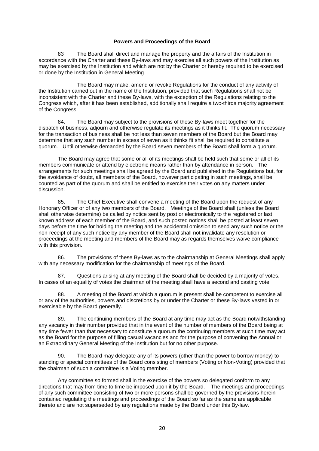#### **Powers and Proceedings of the Board**

83 The Board shall direct and manage the property and the affairs of the Institution in accordance with the Charter and these By-laws and may exercise all such powers of the Institution as may be exercised by the Institution and which are not by the Charter or hereby required to be exercised or done by the Institution in General Meeting.

The Board may make, amend or revoke Regulations for the conduct of any activity of the Institution carried out in the name of the Institution, provided that such Regulations shall not be inconsistent with the Charter and these By-laws, with the exception of the Regulations relating to the Congress which, after it has been established, additionally shall require a two-thirds majority agreement of the Congress.

84. The Board may subject to the provisions of these By-laws meet together for the dispatch of business, adjourn and otherwise regulate its meetings as it thinks fit. The quorum necessary for the transaction of business shall be not less than seven members of the Board but the Board may determine that any such number in excess of seven as it thinks fit shall be required to constitute a quorum. Until otherwise demanded by the Board seven members of the Board shall form a quorum.

The Board may agree that some or all of its meetings shall be held such that some or all of its members communicate or attend by electronic means rather than by attendance in person. The arrangements for such meetings shall be agreed by the Board and published in the Regulations but, for the avoidance of doubt, all members of the Board, however participating in such meetings, shall be counted as part of the quorum and shall be entitled to exercise their votes on any matters under discussion.

85. The Chief Executive shall convene a meeting of the Board upon the request of any Honorary Officer or of any two members of the Board. Meetings of the Board shall (unless the Board shall otherwise determine) be called by notice sent by post or electronically to the registered or last known address of each member of the Board, and such posted notices shall be posted at least seven days before the time for holding the meeting and the accidental omission to send any such notice or the non-receipt of any such notice by any member of the Board shall not invalidate any resolution or proceedings at the meeting and members of the Board may as regards themselves waive compliance with this provision.

86. The provisions of these By-laws as to the chairmanship at General Meetings shall apply with any necessary modification for the chairmanship of meetings of the Board.

87. Questions arising at any meeting of the Board shall be decided by a majority of votes. In cases of an equality of votes the chairman of the meeting shall have a second and casting vote.

88. A meeting of the Board at which a quorum is present shall be competent to exercise all or any of the authorities, powers and discretions by or under the Charter or these By-laws vested in or exercisable by the Board generally.

89. The continuing members of the Board at any time may act as the Board notwithstanding any vacancy in their number provided that in the event of the number of members of the Board being at any time fewer than that necessary to constitute a quorum the continuing members at such time may act as the Board for the purpose of filling casual vacancies and for the purpose of convening the Annual or an Extraordinary General Meeting of the Institution but for no other purpose.

90. The Board may delegate any of its powers (other than the power to borrow money) to standing or special committees of the Board consisting of members (Voting or Non-Voting) provided that the chairman of such a committee is a Voting member.

Any committee so formed shall in the exercise of the powers so delegated conform to any directions that may from time to time be imposed upon it by the Board. The meetings and proceedings of any such committee consisting of two or more persons shall be governed by the provisions herein contained regulating the meetings and proceedings of the Board so far as the same are applicable thereto and are not superseded by any regulations made by the Board under this By-law.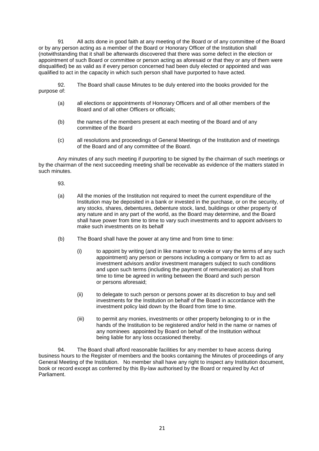91 All acts done in good faith at any meeting of the Board or of any committee of the Board or by any person acting as a member of the Board or Honorary Officer of the Institution shall (notwithstanding that it shall be afterwards discovered that there was some defect in the election or appointment of such Board or committee or person acting as aforesaid or that they or any of them were disqualified) be as valid as if every person concerned had been duly elected or appointed and was qualified to act in the capacity in which such person shall have purported to have acted.

92. The Board shall cause Minutes to be duly entered into the books provided for the purpose of:

- (a) all elections or appointments of Honorary Officers and of all other members of the Board and of all other Officers or officials;
- (b) the names of the members present at each meeting of the Board and of any committee of the Board
- (c) all resolutions and proceedings of General Meetings of the Institution and of meetings of the Board and of any committee of the Board.

Any minutes of any such meeting if purporting to be signed by the chairman of such meetings or by the chairman of the next succeeding meeting shall be receivable as evidence of the matters stated in such minutes.

93.

- (a) All the monies of the Institution not required to meet the current expenditure of the Institution may be deposited in a bank or invested in the purchase, or on the security, of any stocks, shares, debentures, debenture stock, land, buildings or other property of any nature and in any part of the world, as the Board may determine, and the Board shall have power from time to time to vary such investments and to appoint advisers to make such investments on its behalf
- (b) The Board shall have the power at any time and from time to time:
	- (i) to appoint by writing (and in like manner to revoke or vary the terms of any such appointment) any person or persons including a company or firm to act as investment advisors and/or investment managers subject to such conditions and upon such terms (including the payment of remuneration) as shall from time to time be agreed in writing between the Board and such person or persons aforesaid;
	- (ii) to delegate to such person or persons power at its discretion to buy and sell investments for the Institution on behalf of the Board in accordance with the investment policy laid down by the Board from time to time.
	- (iii) to permit any monies, investments or other property belonging to or in the hands of the Institution to be registered and/or held in the name or names of any nominees appointed by Board on behalf of the Institution without being liable for any loss occasioned thereby.

94. The Board shall afford reasonable facilities for any member to have access during business hours to the Register of members and the books containing the Minutes of proceedings of any General Meeting of the Institution. No member shall have any right to inspect any Institution document, book or record except as conferred by this By-law authorised by the Board or required by Act of Parliament.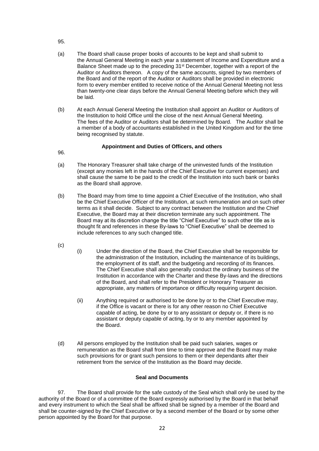- 95.
- (a) The Board shall cause proper books of accounts to be kept and shall submit to the Annual General Meeting in each year a statement of Income and Expenditure and a Balance Sheet made up to the preceding 31<sup>st</sup> December, together with a report of the Auditor or Auditors thereon. A copy of the same accounts, signed by two members of the Board and of the report of the Auditor or Auditors shall be provided in electronic form to every member entitled to receive notice of the Annual General Meeting not less than twenty-one clear days before the Annual General Meeting before which they will be laid.
- (b) At each Annual General Meeting the Institution shall appoint an Auditor or Auditors of the Institution to hold Office until the close of the next Annual General Meeting. The fees of the Auditor or Auditors shall be determined by Board. The Auditor shall be a member of a body of accountants established in the United Kingdom and for the time being recognised by statute.

## **Appointment and Duties of Officers, and others**

96.

- (a) The Honorary Treasurer shall take charge of the uninvested funds of the Institution (except any monies left in the hands of the Chief Executive for current expenses) and shall cause the same to be paid to the credit of the Institution into such bank or banks as the Board shall approve.
- (b) The Board may from time to time appoint a Chief Executive of the Institution, who shall be the Chief Executive Officer of the Institution, at such remuneration and on such other terms as it shall decide. Subject to any contract between the Institution and the Chief Executive, the Board may at their discretion terminate any such appointment. The Board may at its discretion change the title "Chief Executive" to such other title as is thought fit and references in these By-laws to "Chief Executive" shall be deemed to include references to any such changed title.
- (c)
- (i) Under the direction of the Board, the Chief Executive shall be responsible for the administration of the Institution, including the maintenance of its buildings, the employment of its staff, and the budgeting and recording of its finances. The Chief Executive shall also generally conduct the ordinary business of the Institution in accordance with the Charter and these By-laws and the directions of the Board, and shall refer to the President or Honorary Treasurer as appropriate, any matters of importance or difficulty requiring urgent decision.
- (ii) Anything required or authorised to be done by or to the Chief Executive may, if the Office is vacant or there is for any other reason no Chief Executive capable of acting, be done by or to any assistant or deputy or, if there is no assistant or deputy capable of acting, by or to any member appointed by the Board.
- (d) All persons employed by the Institution shall be paid such salaries, wages or remuneration as the Board shall from time to time approve and the Board may make such provisions for or grant such pensions to them or their dependants after their retirement from the service of the Institution as the Board may decide.

## **Seal and Documents**

97. The Board shall provide for the safe custody of the Seal which shall only be used by the authority of the Board or of a committee of the Board expressly authorised by the Board in that behalf and every instrument to which the Seal shall be affixed shall be signed by a member of the Board and shall be counter-signed by the Chief Executive or by a second member of the Board or by some other person appointed by the Board for that purpose.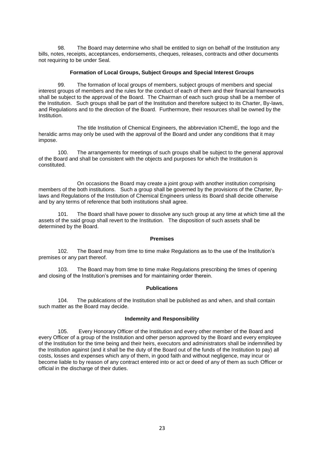98. The Board may determine who shall be entitled to sign on behalf of the Institution any bills, notes, receipts, acceptances, endorsements, cheques, releases, contracts and other documents not requiring to be under Seal.

#### **Formation of Local Groups, Subject Groups and Special Interest Groups**

99. The formation of local groups of members, subject groups of members and special interest groups of members and the rules for the conduct of each of them and their financial frameworks shall be subject to the approval of the Board. The Chairman of each such group shall be a member of the Institution. Such groups shall be part of the Institution and therefore subject to its Charter, By-laws, and Regulations and to the direction of the Board. Furthermore, their resources shall be owned by the Institution.

The title Institution of Chemical Engineers, the abbreviation IChemE, the logo and the heraldic arms may only be used with the approval of the Board and under any conditions that it may impose.

100. The arrangements for meetings of such groups shall be subject to the general approval of the Board and shall be consistent with the objects and purposes for which the Institution is constituted.

On occasions the Board may create a joint group with another institution comprising members of the both institutions. Such a group shall be governed by the provisions of the Charter, Bylaws and Regulations of the Institution of Chemical Engineers unless its Board shall decide otherwise and by any terms of reference that both institutions shall agree.

101. The Board shall have power to dissolve any such group at any time at which time all the assets of the said group shall revert to the Institution. The disposition of such assets shall be determined by the Board.

#### **Premises**

102. The Board may from time to time make Regulations as to the use of the Institution's premises or any part thereof.

103. The Board may from time to time make Regulations prescribing the times of opening and closing of the Institution's premises and for maintaining order therein.

#### **Publications**

104. The publications of the Institution shall be published as and when, and shall contain such matter as the Board may decide.

## **Indemnity and Responsibility**

105. Every Honorary Officer of the Institution and every other member of the Board and every Officer of a group of the Institution and other person approved by the Board and every employee of the Institution for the time being and their heirs, executors and administrators shall be indemnified by the Institution against (and it shall be the duty of the Board out of the funds of the Institution to pay) all costs, losses and expenses which any of them, in good faith and without negligence, may incur or become liable to by reason of any contract entered into or act or deed of any of them as such Officer or official in the discharge of their duties.